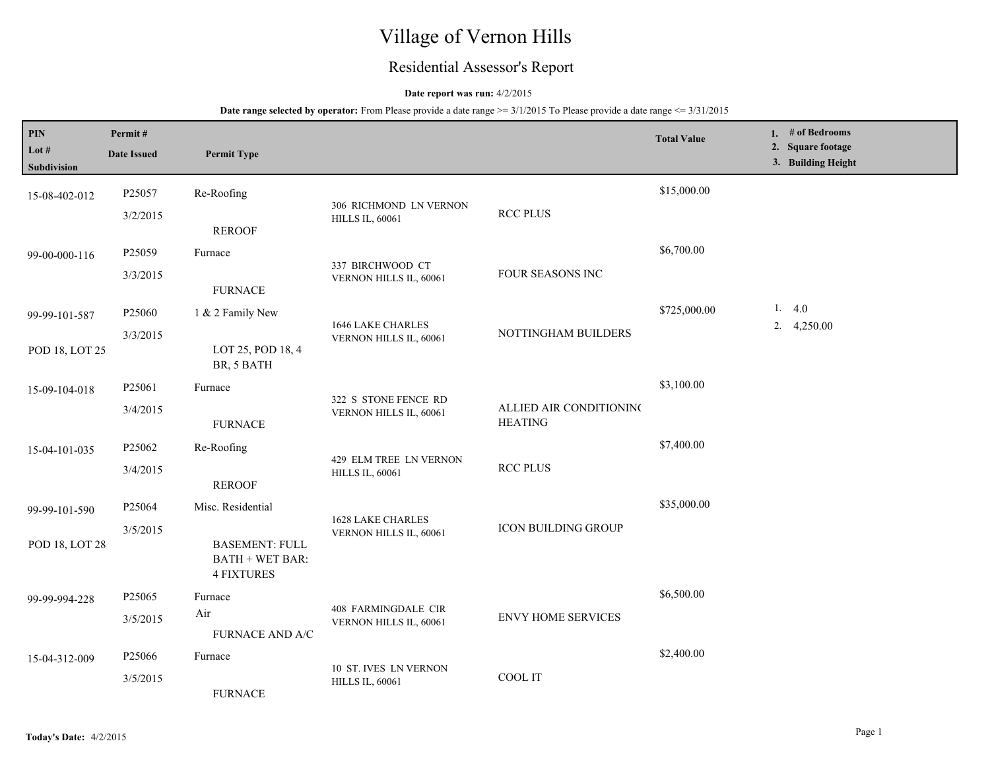# Village of Vernon Hills

## Residential Assessor's Report

## **Date report was run:** 4/2/2015

| PIN<br>Lot #<br>Subdivision | Permit#<br><b>Date Issued</b> | <b>Permit Type</b>                                                   |                                                      |                                           | <b>Total Value</b> | 1. # of Bedrooms<br>2. Square footage<br>3. Building Height |
|-----------------------------|-------------------------------|----------------------------------------------------------------------|------------------------------------------------------|-------------------------------------------|--------------------|-------------------------------------------------------------|
| 15-08-402-012               | P25057<br>3/2/2015            | Re-Roofing                                                           | 306 RICHMOND LN VERNON<br><b>HILLS IL, 60061</b>     | <b>RCC PLUS</b>                           | \$15,000.00        |                                                             |
| 99-00-000-116               | P25059                        | <b>REROOF</b><br>Furnace                                             | 337 BIRCHWOOD CT                                     |                                           | \$6,700.00         |                                                             |
|                             | 3/3/2015                      | <b>FURNACE</b>                                                       | VERNON HILLS IL, 60061                               | FOUR SEASONS INC                          |                    |                                                             |
| 99-99-101-587               | P25060<br>3/3/2015            | 1 & 2 Family New                                                     | 1646 LAKE CHARLES<br>VERNON HILLS IL, 60061          | NOTTINGHAM BUILDERS                       | \$725,000.00       | 1. $4.0$<br>2. $4,250.00$                                   |
| POD 18, LOT 25              |                               | LOT 25, POD 18, 4<br>BR, 5 BATH                                      |                                                      |                                           |                    |                                                             |
| 15-09-104-018               | P25061<br>3/4/2015            | Furnace<br><b>FURNACE</b>                                            | 322 S STONE FENCE RD<br>VERNON HILLS IL, 60061       | ALLIED AIR CONDITIONING<br><b>HEATING</b> | \$3,100.00         |                                                             |
| 15-04-101-035               | P25062<br>3/4/2015            | Re-Roofing<br><b>REROOF</b>                                          | 429 ELM TREE LN VERNON<br><b>HILLS IL, 60061</b>     | <b>RCC PLUS</b>                           | \$7,400.00         |                                                             |
| 99-99-101-590               | P25064                        | Misc. Residential                                                    | <b>1628 LAKE CHARLES</b>                             | <b>ICON BUILDING GROUP</b>                | \$35,000.00        |                                                             |
| POD 18, LOT 28              | 3/5/2015                      | <b>BASEMENT: FULL</b><br><b>BATH + WET BAR:</b><br><b>4 FIXTURES</b> | VERNON HILLS IL, 60061                               |                                           |                    |                                                             |
| 99-99-994-228               | P25065<br>3/5/2015            | Furnace<br>Air                                                       | <b>408 FARMINGDALE CIR</b><br>VERNON HILLS IL, 60061 | <b>ENVY HOME SERVICES</b>                 | \$6,500.00         |                                                             |
| 15-04-312-009               | P25066<br>3/5/2015            | <b>FURNACE AND A/C</b><br>Furnace<br><b>FURNACE</b>                  | 10 ST. IVES LN VERNON<br><b>HILLS IL, 60061</b>      | COOL IT                                   | \$2,400.00         |                                                             |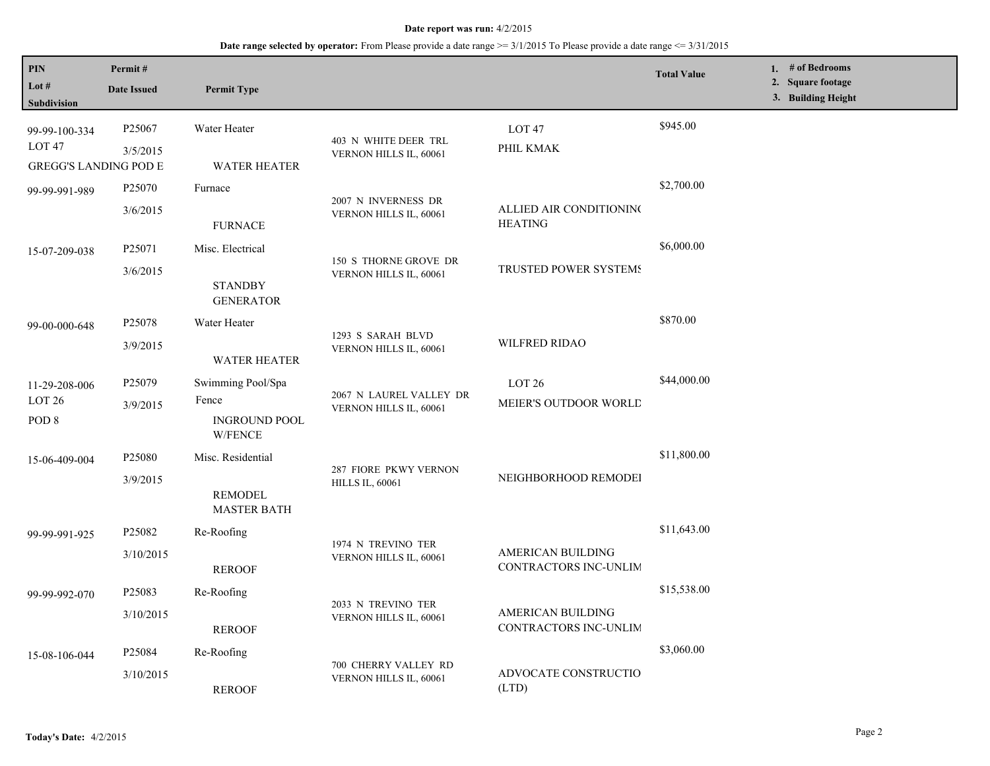| PIN<br>Lot #<br>Subdivision                                        | Permit#<br><b>Date Issued</b>   | <b>Permit Type</b>                                            |                                                   |                                                   | <b>Total Value</b> | 1. # of Bedrooms<br>2. Square footage<br>3. Building Height |
|--------------------------------------------------------------------|---------------------------------|---------------------------------------------------------------|---------------------------------------------------|---------------------------------------------------|--------------------|-------------------------------------------------------------|
| 99-99-100-334<br>LOT <sub>47</sub><br><b>GREGG'S LANDING POD E</b> | P25067<br>3/5/2015              | Water Heater<br><b>WATER HEATER</b>                           | 403 N WHITE DEER TRL<br>VERNON HILLS IL, 60061    | LOT <sub>47</sub><br>PHIL KMAK                    | \$945.00           |                                                             |
| 99-99-991-989                                                      | P25070<br>3/6/2015              | Furnace<br><b>FURNACE</b>                                     | 2007 N INVERNESS DR<br>VERNON HILLS IL, 60061     | ALLIED AIR CONDITIONING<br><b>HEATING</b>         | \$2,700.00         |                                                             |
| 15-07-209-038                                                      | P25071<br>3/6/2015              | Misc. Electrical<br><b>STANDBY</b><br><b>GENERATOR</b>        | 150 S THORNE GROVE DR<br>VERNON HILLS IL, 60061   | TRUSTED POWER SYSTEMS                             | \$6,000.00         |                                                             |
| 99-00-000-648                                                      | P25078<br>3/9/2015              | Water Heater<br><b>WATER HEATER</b>                           | 1293 S SARAH BLVD<br>VERNON HILLS IL, 60061       | <b>WILFRED RIDAO</b>                              | \$870.00           |                                                             |
| 11-29-208-006<br>LOT <sub>26</sub><br>POD <sub>8</sub>             | P <sub>25079</sub><br>3/9/2015  | Swimming Pool/Spa<br>Fence<br><b>INGROUND POOL</b><br>W/FENCE | 2067 N LAUREL VALLEY DR<br>VERNON HILLS IL, 60061 | LOT <sub>26</sub><br>MEIER'S OUTDOOR WORLD        | \$44,000.00        |                                                             |
| 15-06-409-004                                                      | P <sub>25080</sub><br>3/9/2015  | Misc. Residential<br><b>REMODEL</b><br><b>MASTER BATH</b>     | 287 FIORE PKWY VERNON<br><b>HILLS IL, 60061</b>   | NEIGHBORHOOD REMODEI                              | \$11,800.00        |                                                             |
| 99-99-991-925                                                      | P25082<br>3/10/2015             | Re-Roofing<br><b>REROOF</b>                                   | 1974 N TREVINO TER<br>VERNON HILLS IL, 60061      | <b>AMERICAN BUILDING</b><br>CONTRACTORS INC-UNLIM | \$11,643.00        |                                                             |
| 99-99-992-070                                                      | P <sub>25083</sub><br>3/10/2015 | Re-Roofing<br><b>REROOF</b>                                   | 2033 N TREVINO TER<br>VERNON HILLS IL, 60061      | AMERICAN BUILDING<br>CONTRACTORS INC-UNLIM        | \$15,538.00        |                                                             |
| 15-08-106-044                                                      | P <sub>25084</sub><br>3/10/2015 | Re-Roofing<br><b>REROOF</b>                                   | 700 CHERRY VALLEY RD<br>VERNON HILLS IL, 60061    | ADVOCATE CONSTRUCTIO<br>(LTD)                     | \$3,060.00         |                                                             |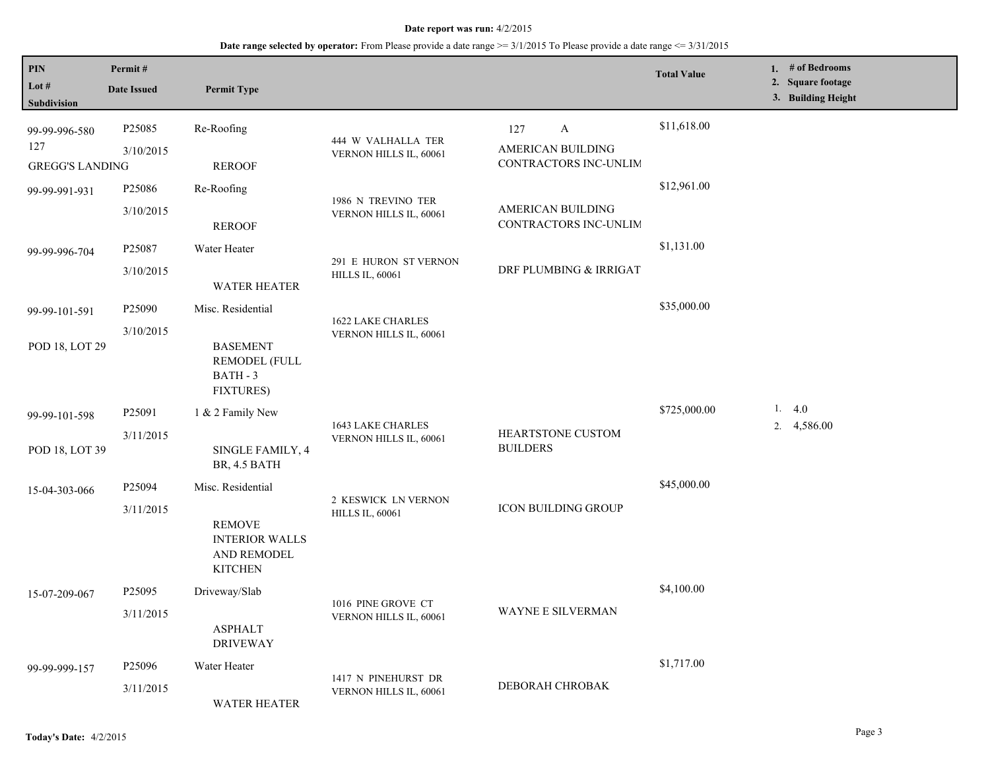| PIN<br>Lot #<br>Subdivision | Permit#<br><b>Date Issued</b> | <b>Permit Type</b>                                                      |                                               |                                            | <b>Total Value</b> | 1. # of Bedrooms<br>2. Square footage<br>3. Building Height |
|-----------------------------|-------------------------------|-------------------------------------------------------------------------|-----------------------------------------------|--------------------------------------------|--------------------|-------------------------------------------------------------|
| 99-99-996-580<br>127        | P25085                        | Re-Roofing                                                              | 444 W VALHALLA TER                            | 127<br>A                                   | \$11,618.00        |                                                             |
| <b>GREGG'S LANDING</b>      | 3/10/2015                     | <b>REROOF</b>                                                           | VERNON HILLS IL, 60061                        | AMERICAN BUILDING<br>CONTRACTORS INC-UNLIM |                    |                                                             |
| 99-99-991-931               | P25086                        | Re-Roofing                                                              | 1986 N TREVINO TER<br>VERNON HILLS IL, 60061  | AMERICAN BUILDING<br>CONTRACTORS INC-UNLIM | \$12,961.00        |                                                             |
|                             | 3/10/2015                     | <b>REROOF</b>                                                           |                                               |                                            |                    |                                                             |
| 99-99-996-704               | P25087                        | Water Heater                                                            | 291 E HURON ST VERNON                         |                                            | \$1,131.00         |                                                             |
|                             | 3/10/2015                     | <b>WATER HEATER</b>                                                     | <b>HILLS IL, 60061</b>                        | DRF PLUMBING & IRRIGAT                     |                    |                                                             |
| 99-99-101-591               | P25090                        | Misc. Residential                                                       | 1622 LAKE CHARLES                             |                                            | \$35,000.00        |                                                             |
| POD 18, LOT 29              | 3/10/2015                     | <b>BASEMENT</b><br><b>REMODEL (FULL</b><br>BATH - 3<br><b>FIXTURES)</b> | VERNON HILLS IL, 60061                        |                                            |                    |                                                             |
| 99-99-101-598               | P25091                        | 1 & 2 Family New                                                        | <b>1643 LAKE CHARLES</b>                      |                                            | \$725,000.00       | 1. $4.0$                                                    |
| POD 18, LOT 39              | 3/11/2015                     | SINGLE FAMILY, 4<br>BR, 4.5 BATH                                        | VERNON HILLS IL, 60061                        | HEARTSTONE CUSTOM<br><b>BUILDERS</b>       |                    | 2. 4,586.00                                                 |
| 15-04-303-066               | P <sub>25094</sub>            | Misc. Residential                                                       |                                               |                                            | \$45,000.00        |                                                             |
|                             | 3/11/2015                     | <b>REMOVE</b><br><b>INTERIOR WALLS</b><br>AND REMODEL<br><b>KITCHEN</b> | 2 KESWICK LN VERNON<br><b>HILLS IL, 60061</b> | ICON BUILDING GROUP                        |                    |                                                             |
| 15-07-209-067               | P25095                        | Driveway/Slab                                                           | 1016 PINE GROVE CT                            |                                            | \$4,100.00         |                                                             |
|                             | 3/11/2015                     | <b>ASPHALT</b><br><b>DRIVEWAY</b>                                       | VERNON HILLS IL, 60061                        | <b>WAYNE E SILVERMAN</b>                   |                    |                                                             |
| 99-99-999-157               | P25096                        | Water Heater                                                            | 1417 N PINEHURST DR                           |                                            | \$1,717.00         |                                                             |
|                             | 3/11/2015                     | <b>WATER HEATER</b>                                                     | VERNON HILLS IL, 60061                        | DEBORAH CHROBAK                            |                    |                                                             |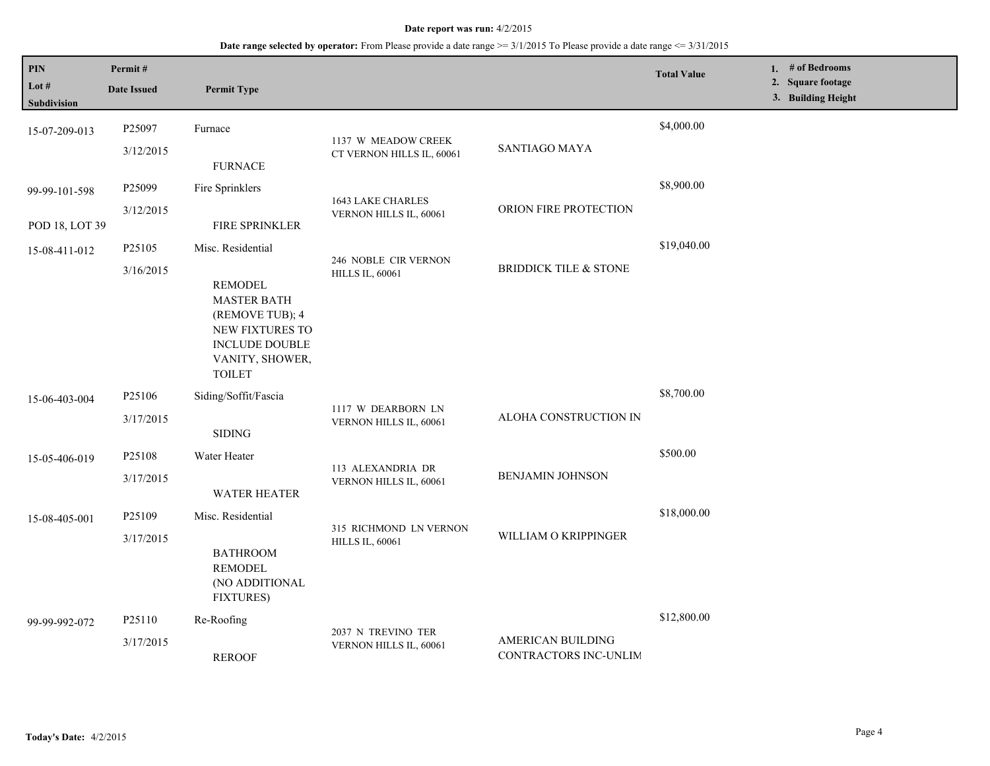| PIN<br>Lot #<br>Subdivision     | Permit#<br><b>Date Issued</b>   | <b>Permit Type</b>                                                                                                                                    |                                                  |                                                   | <b>Total Value</b> | 1. # of Bedrooms<br>2. Square footage<br>3. Building Height |
|---------------------------------|---------------------------------|-------------------------------------------------------------------------------------------------------------------------------------------------------|--------------------------------------------------|---------------------------------------------------|--------------------|-------------------------------------------------------------|
| 15-07-209-013                   | P25097<br>3/12/2015             | Furnace<br><b>FURNACE</b>                                                                                                                             | 1137 W MEADOW CREEK<br>CT VERNON HILLS IL, 60061 | <b>SANTIAGO MAYA</b>                              | \$4,000.00         |                                                             |
| 99-99-101-598<br>POD 18, LOT 39 | P25099<br>3/12/2015             | Fire Sprinklers<br>FIRE SPRINKLER                                                                                                                     | 1643 LAKE CHARLES<br>VERNON HILLS IL, 60061      | ORION FIRE PROTECTION                             | \$8,900.00         |                                                             |
| 15-08-411-012                   | P25105<br>3/16/2015             | Misc. Residential<br><b>REMODEL</b><br><b>MASTER BATH</b><br>(REMOVE TUB); 4<br>NEW FIXTURES TO<br>INCLUDE DOUBLE<br>VANITY, SHOWER,<br><b>TOILET</b> | 246 NOBLE CIR VERNON<br><b>HILLS IL, 60061</b>   | <b>BRIDDICK TILE &amp; STONE</b>                  | \$19,040.00        |                                                             |
| 15-06-403-004                   | P25106<br>3/17/2015             | Siding/Soffit/Fascia<br><b>SIDING</b>                                                                                                                 | 1117 W DEARBORN LN<br>VERNON HILLS IL, 60061     | ALOHA CONSTRUCTION IN                             | \$8,700.00         |                                                             |
| 15-05-406-019                   | P25108<br>3/17/2015             | Water Heater<br><b>WATER HEATER</b>                                                                                                                   | 113 ALEXANDRIA DR<br>VERNON HILLS IL, 60061      | <b>BENJAMIN JOHNSON</b>                           | \$500.00           |                                                             |
| 15-08-405-001                   | P25109<br>3/17/2015             | Misc. Residential<br><b>BATHROOM</b><br><b>REMODEL</b><br>(NO ADDITIONAL<br><b>FIXTURES)</b>                                                          | 315 RICHMOND LN VERNON<br><b>HILLS IL, 60061</b> | WILLIAM O KRIPPINGER                              | \$18,000.00        |                                                             |
| 99-99-992-072                   | P <sub>25110</sub><br>3/17/2015 | Re-Roofing<br><b>REROOF</b>                                                                                                                           | 2037 N TREVINO TER<br>VERNON HILLS IL, 60061     | <b>AMERICAN BUILDING</b><br>CONTRACTORS INC-UNLIM | \$12,800.00        |                                                             |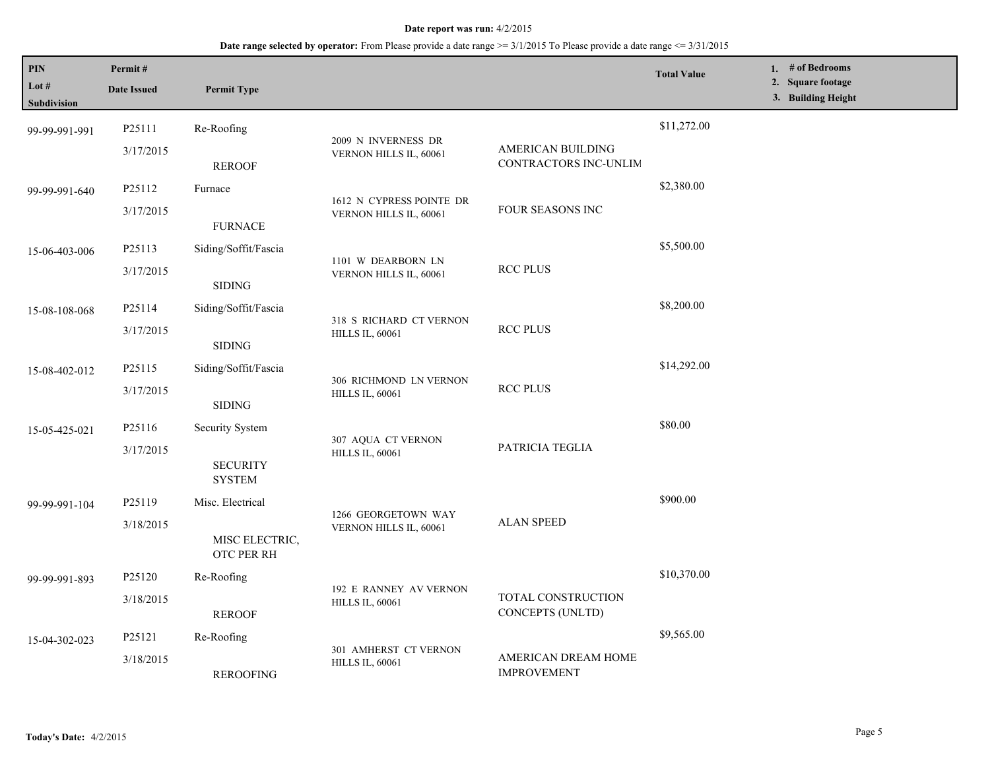| PIN<br>Lot #<br><b>Subdivision</b> | Permit#<br><b>Date Issued</b> | <b>Permit Type</b>                  |                                                    |                                            | <b>Total Value</b> | 1. # of Bedrooms<br>2. Square footage<br>3. Building Height |
|------------------------------------|-------------------------------|-------------------------------------|----------------------------------------------------|--------------------------------------------|--------------------|-------------------------------------------------------------|
| 99-99-991-991                      | P25111                        | Re-Roofing                          |                                                    |                                            | \$11,272.00        |                                                             |
|                                    | 3/17/2015                     | <b>REROOF</b>                       | 2009 N INVERNESS DR<br>VERNON HILLS IL, 60061      | AMERICAN BUILDING<br>CONTRACTORS INC-UNLIM |                    |                                                             |
| 99-99-991-640                      | P25112                        | Furnace                             |                                                    |                                            | \$2,380.00         |                                                             |
|                                    | 3/17/2015                     | <b>FURNACE</b>                      | 1612 N CYPRESS POINTE DR<br>VERNON HILLS IL, 60061 | FOUR SEASONS INC                           |                    |                                                             |
| 15-06-403-006                      | P25113                        | Siding/Soffit/Fascia                |                                                    |                                            | \$5,500.00         |                                                             |
|                                    | 3/17/2015                     | <b>SIDING</b>                       | 1101 W DEARBORN LN<br>VERNON HILLS IL, 60061       | <b>RCC PLUS</b>                            |                    |                                                             |
| 15-08-108-068                      | P25114                        | Siding/Soffit/Fascia                | 318 S RICHARD CT VERNON<br><b>HILLS IL, 60061</b>  | <b>RCC PLUS</b>                            | \$8,200.00         |                                                             |
|                                    | 3/17/2015                     | <b>SIDING</b>                       |                                                    |                                            |                    |                                                             |
| 15-08-402-012                      | P25115                        | Siding/Soffit/Fascia                |                                                    | <b>RCC PLUS</b>                            | \$14,292.00        |                                                             |
|                                    | 3/17/2015                     | <b>SIDING</b>                       | 306 RICHMOND LN VERNON<br><b>HILLS IL, 60061</b>   |                                            |                    |                                                             |
| 15-05-425-021                      | P25116                        | Security System                     | 307 AQUA CT VERNON<br><b>HILLS IL, 60061</b>       | PATRICIA TEGLIA                            | \$80.00            |                                                             |
|                                    | 3/17/2015                     | <b>SECURITY</b><br><b>SYSTEM</b>    |                                                    |                                            |                    |                                                             |
| 99-99-991-104                      | P25119                        | Misc. Electrical                    | 1266 GEORGETOWN WAY<br>VERNON HILLS IL, 60061      | <b>ALAN SPEED</b>                          | \$900.00           |                                                             |
|                                    | 3/18/2015                     | MISC ELECTRIC,<br><b>OTC PER RH</b> |                                                    |                                            |                    |                                                             |
| 99-99-991-893                      | P25120                        | Re-Roofing                          |                                                    |                                            | \$10,370.00        |                                                             |
|                                    | 3/18/2015                     | <b>REROOF</b>                       | 192 E RANNEY AV VERNON<br><b>HILLS IL, 60061</b>   | TOTAL CONSTRUCTION<br>CONCEPTS (UNLTD)     |                    |                                                             |
| 15-04-302-023                      | P25121                        | Re-Roofing                          |                                                    |                                            | \$9,565.00         |                                                             |
|                                    | 3/18/2015                     | <b>REROOFING</b>                    | 301 AMHERST CT VERNON<br><b>HILLS IL, 60061</b>    | AMERICAN DREAM HOME<br><b>IMPROVEMENT</b>  |                    |                                                             |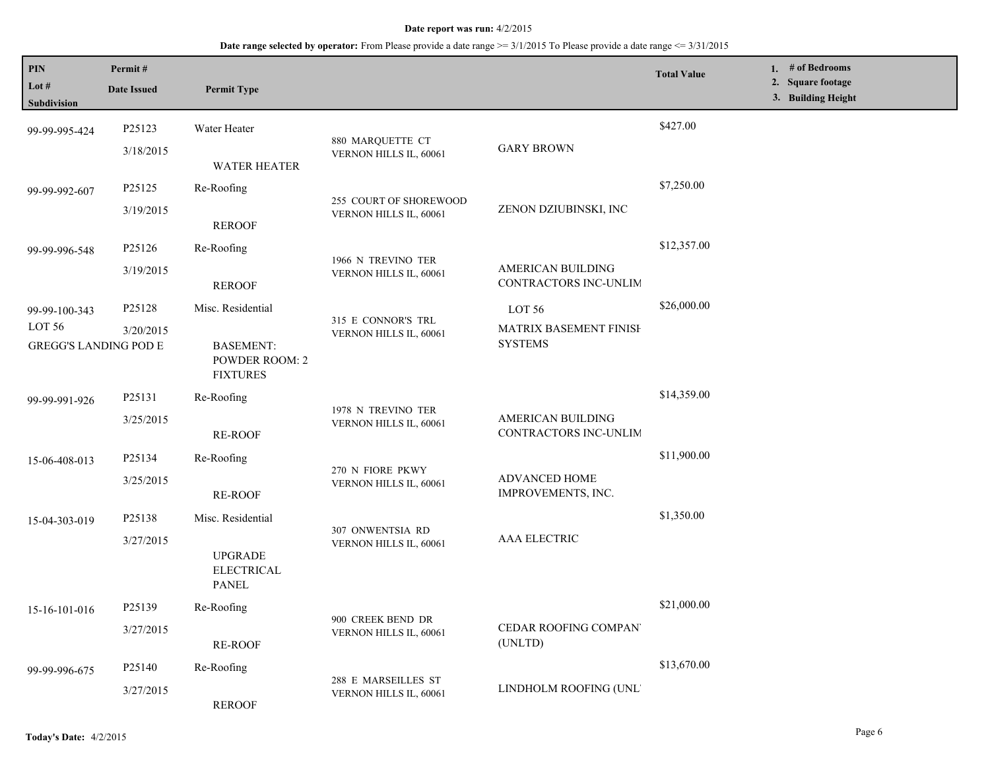| PIN<br>Lot $#$<br>Subdivision | Permit#<br><b>Date Issued</b> | <b>Permit Type</b>                                           |                                               |                                            | <b>Total Value</b> | 1. # of Bedrooms<br>2. Square footage<br>3. Building Height |
|-------------------------------|-------------------------------|--------------------------------------------------------------|-----------------------------------------------|--------------------------------------------|--------------------|-------------------------------------------------------------|
| 99-99-995-424                 | P25123                        | Water Heater                                                 |                                               |                                            | \$427.00           |                                                             |
|                               | 3/18/2015                     | <b>WATER HEATER</b>                                          | 880 MARQUETTE CT<br>VERNON HILLS IL, 60061    | <b>GARY BROWN</b>                          |                    |                                                             |
| 99-99-992-607                 | P25125                        | Re-Roofing                                                   | 255 COURT OF SHOREWOOD                        |                                            | \$7,250.00         |                                                             |
|                               | 3/19/2015                     | <b>REROOF</b>                                                | VERNON HILLS IL, 60061                        | ZENON DZIUBINSKI, INC                      |                    |                                                             |
| 99-99-996-548                 | P25126                        | Re-Roofing                                                   |                                               |                                            | \$12,357.00        |                                                             |
|                               | 3/19/2015                     | <b>REROOF</b>                                                | 1966 N TREVINO TER<br>VERNON HILLS IL, 60061  | AMERICAN BUILDING<br>CONTRACTORS INC-UNLIM |                    |                                                             |
| 99-99-100-343                 | P25128                        | Misc. Residential                                            |                                               | LOT 56                                     | \$26,000.00        |                                                             |
| LOT 56                        | 3/20/2015                     |                                                              | 315 E CONNOR'S TRL<br>VERNON HILLS IL, 60061  | MATRIX BASEMENT FINISH                     |                    |                                                             |
| <b>GREGG'S LANDING POD E</b>  |                               | <b>BASEMENT:</b><br><b>POWDER ROOM: 2</b><br><b>FIXTURES</b> | <b>SYSTEMS</b>                                |                                            |                    |                                                             |
| 99-99-991-926                 | P25131                        | Re-Roofing                                                   |                                               |                                            | \$14,359.00        |                                                             |
|                               | 3/25/2015                     | RE-ROOF                                                      | 1978 N TREVINO TER<br>VERNON HILLS IL, 60061  | AMERICAN BUILDING<br>CONTRACTORS INC-UNLIM |                    |                                                             |
| 15-06-408-013                 | P25134                        | Re-Roofing                                                   |                                               |                                            | \$11,900.00        |                                                             |
|                               | 3/25/2015                     | RE-ROOF                                                      | 270 N FIORE PKWY<br>VERNON HILLS IL, 60061    | ADVANCED HOME<br>IMPROVEMENTS, INC.        |                    |                                                             |
| 15-04-303-019                 | P25138                        | Misc. Residential                                            | 307 ONWENTSIA RD                              |                                            | \$1,350.00         |                                                             |
|                               | 3/27/2015                     | <b>UPGRADE</b><br><b>ELECTRICAL</b><br><b>PANEL</b>          | VERNON HILLS IL, 60061                        | <b>AAA ELECTRIC</b>                        |                    |                                                             |
| 15-16-101-016                 | P25139                        | Re-Roofing                                                   |                                               |                                            | \$21,000.00        |                                                             |
|                               | 3/27/2015                     | RE-ROOF                                                      | 900 CREEK BEND DR<br>VERNON HILLS IL, 60061   | CEDAR ROOFING COMPAN<br>(UNLTD)            |                    |                                                             |
| 99-99-996-675                 | P25140                        | Re-Roofing                                                   |                                               |                                            | \$13,670.00        |                                                             |
|                               | 3/27/2015                     | <b>REROOF</b>                                                | 288 E MARSEILLES ST<br>VERNON HILLS IL, 60061 | LINDHOLM ROOFING (UNL'                     |                    |                                                             |